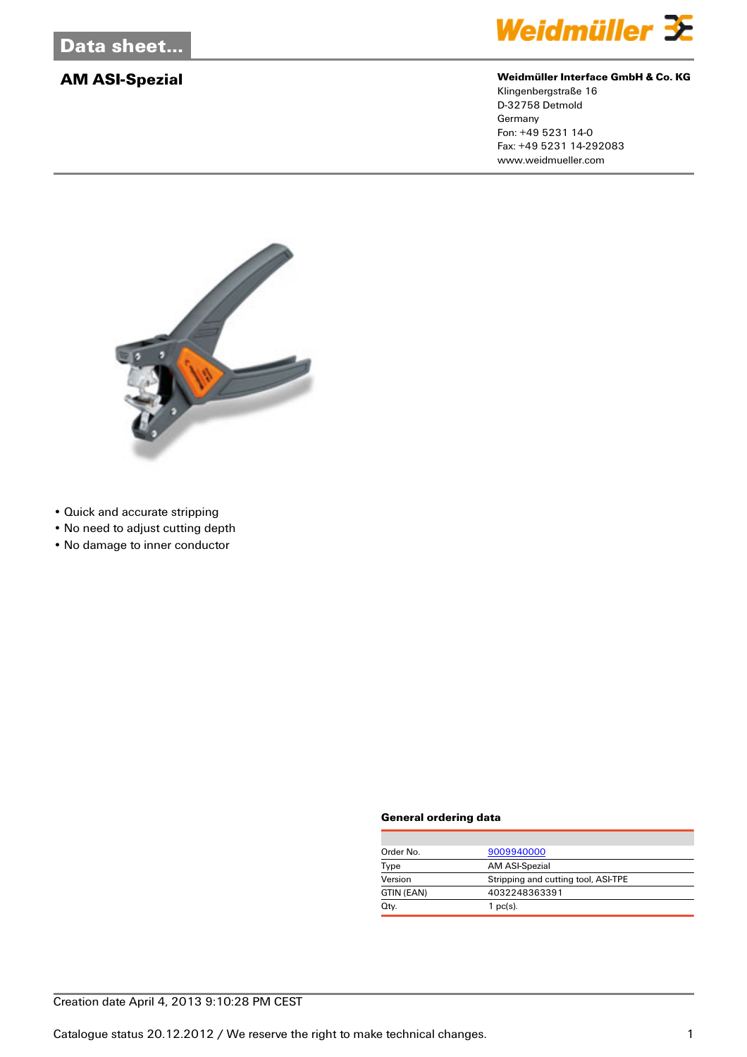

# **AM ASI-Spezial Weidmüller Interface GmbH & Co. KG**

Klingenbergstraße 16 D-32758 Detmold Germany Fon: +49 5231 14-0 Fax: +49 5231 14-292083 www.weidmueller.com



- Quick and accurate stripping
- No need to adjust cutting depth
- No damage to inner conductor

### **General ordering data**

| Order No.  | 9009940000                          |  |
|------------|-------------------------------------|--|
| Type       | AM ASI-Spezial                      |  |
| Version    | Stripping and cutting tool, ASI-TPE |  |
| GTIN (EAN) | 4032248363391                       |  |
| Qty.       | $1$ pc(s).                          |  |